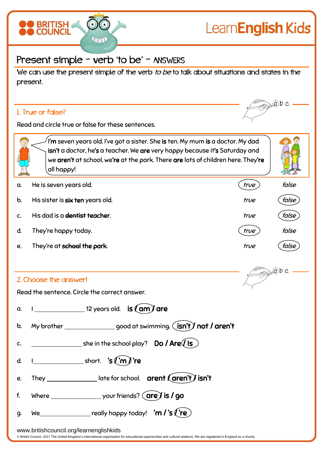

## Present simple - verb 'to be' - ANSWERS

We can use the present simple of the verb to be to talk about situations and states in the present.

## 1. True or false?



 $ab$  c

Read and circle true or false for these sentences.

 $\hat{\mathsf{I}}$ 'm seven years old. I've got a sister. She **is** ten. My mum **is** a doctor. My dad isn't a doctor, he's a teacher. We are very happy because it's Saturday and we aren't at school, we're at the park. There are lots of children here. They're all happy!

- a. He is seven years old.  $\qquad \qquad (true)$  false
	- b. His sister is six ten years old. the state of the false of the false of the false of the false
	- c. His dad is a <del>dentist</del> teacher. true false false
	- d. They're happy today. the same false of the false of the false of the false of the false
	- e. They're at school the park. the state of the false of the false of the false of the false

## 2. Choose the answer!

Read the sentence. Circle the correct answer.

| a.        | $\frac{1}{2}$ 12 years old. $\frac{1}{2}$ is $\frac{1}{2}$ are                                                                                                                                                                                                                                                                                                                                                                 |
|-----------|--------------------------------------------------------------------------------------------------------------------------------------------------------------------------------------------------------------------------------------------------------------------------------------------------------------------------------------------------------------------------------------------------------------------------------|
|           | b. My brother ___________________good at swimming. $(\text{isn't})$ not / aren't                                                                                                                                                                                                                                                                                                                                               |
|           |                                                                                                                                                                                                                                                                                                                                                                                                                                |
|           | d. $1$ short. 's $\binom{m}{k}$ 're                                                                                                                                                                                                                                                                                                                                                                                            |
|           | e. They ________________late for school. $\arcsin \arctan \arcsin \arctan'$ isn't                                                                                                                                                                                                                                                                                                                                              |
| f.        |                                                                                                                                                                                                                                                                                                                                                                                                                                |
| <b>g.</b> | We $\frac{1}{\sqrt{1-\frac{1}{\sqrt{1-\frac{1}{\sqrt{1-\frac{1}{\sqrt{1-\frac{1}{\sqrt{1-\frac{1}{\sqrt{1-\frac{1}{\sqrt{1-\frac{1}{\sqrt{1-\frac{1}{\sqrt{1-\frac{1}{\sqrt{1-\frac{1}{\sqrt{1-\frac{1}{\sqrt{1-\frac{1}{\sqrt{1-\frac{1}{\sqrt{1-\frac{1}{\sqrt{1-\frac{1}{\sqrt{1-\frac{1}{\sqrt{1-\frac{1}{\sqrt{1-\frac{1}{\sqrt{1-\frac{1}{\sqrt{1-\frac{1}{\sqrt{1-\frac{1}{\sqrt{1-\frac{1}{\sqrt{1-\frac{1}{\sqrt{1-\$ |
|           |                                                                                                                                                                                                                                                                                                                                                                                                                                |

www.britishcouncil.org/learnenglishkids

© British Council, 2017 The United Kingdom's international organisation for educational opportunities and cultural relations. We are registered in England as a charity.